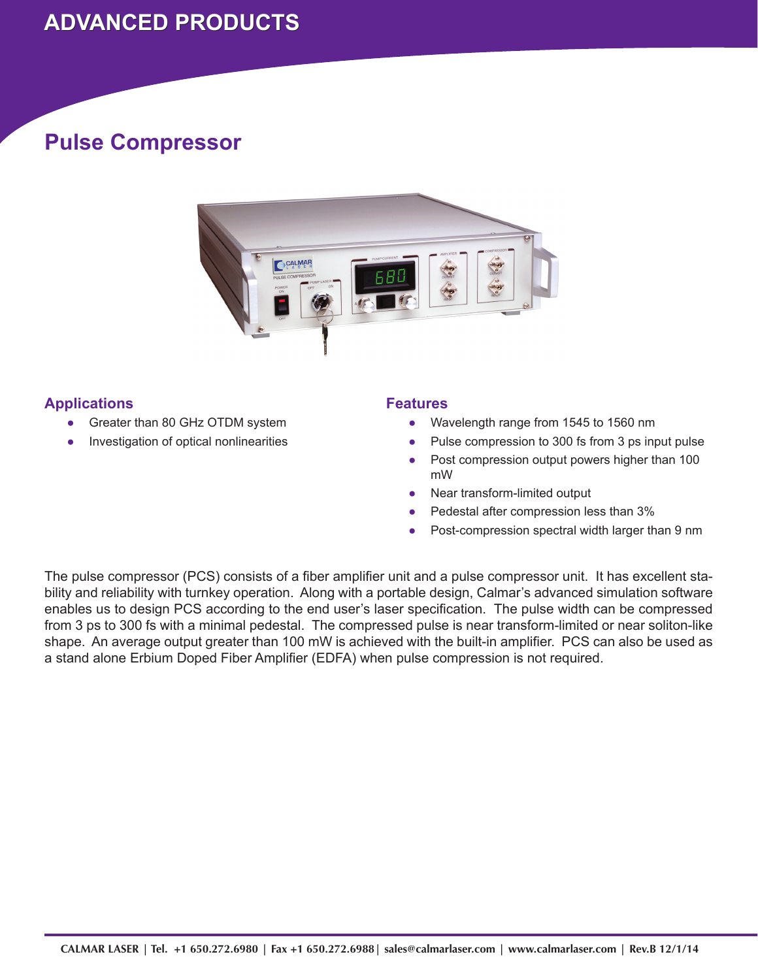## **ADVANCED PRODUCTS ADVANCED PRODUCTS**

### **Pulse Compressor**



### **Applications**

- Greater than 80 GHz OTDM system ●
- Investigation of optical nonlinearities ●

#### **Features**

- Wavelength range from 1545 to 1560 nm ●
- Pulse compression to 300 fs from 3 ps input pulse ●
- Post compression output powers higher than 100 mW ●
- Near transform-limited output ●
- Pedestal after compression less than 3% ●
- Post-compression spectral width larger than 9 nm ●

The pulse compressor (PCS) consists of a fiber amplifier unit and a pulse compressor unit. It has excellent stability and reliability with turnkey operation. Along with a portable design, Calmar's advanced simulation software enables us to design PCS according to the end user's laser specification. The pulse width can be compressed from 3 ps to 300 fs with a minimal pedestal. The compressed pulse is near transform-limited or near soliton-like shape. An average output greater than 100 mW is achieved with the built-in amplifier. PCS can also be used as a stand alone Erbium Doped Fiber Amplifier (EDFA) when pulse compression is not required.